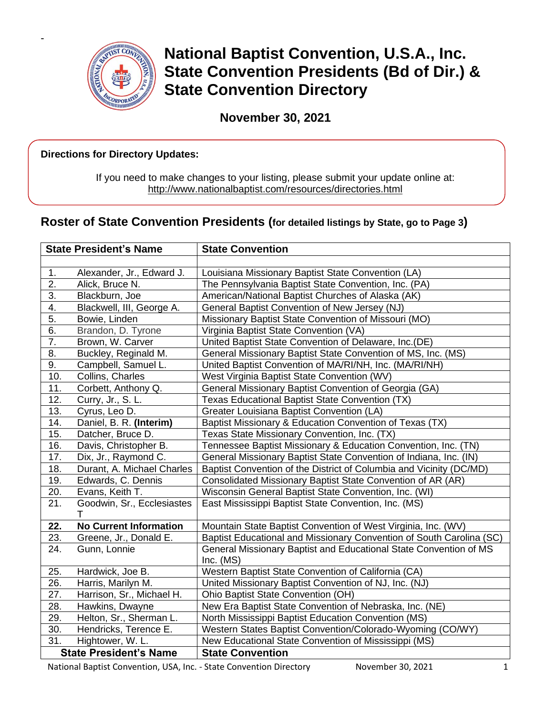

-

**National Baptist Convention, U.S.A., Inc. State Convention Presidents (Bd of Dir.) & State Convention Directory**

**November 30, 2021**

## **Directions for Directory Updates:**

If you need to make changes to your listing, please submit your update online at: <http://www.nationalbaptist.com/resources/directories.html>

# **Roster of State Convention Presidents (for detailed listings by State, go to Page 3)**

| <b>State President's Name</b> |                                 | <b>State Convention</b>                                                          |
|-------------------------------|---------------------------------|----------------------------------------------------------------------------------|
|                               |                                 |                                                                                  |
| 1.                            | Alexander, Jr., Edward J.       | Louisiana Missionary Baptist State Convention (LA)                               |
| $\overline{2}$ .              | Alick, Bruce N.                 | The Pennsylvania Baptist State Convention, Inc. (PA)                             |
| $\overline{3}$ .              | Blackburn, Joe                  | American/National Baptist Churches of Alaska (AK)                                |
| 4.                            | Blackwell, III, George A.       | General Baptist Convention of New Jersey (NJ)                                    |
| 5.                            | Bowie, Linden                   | Missionary Baptist State Convention of Missouri (MO)                             |
| 6.                            | Brandon, D. Tyrone              | Virginia Baptist State Convention (VA)                                           |
| $\overline{7}$ .              | Brown, W. Carver                | United Baptist State Convention of Delaware, Inc.(DE)                            |
| 8.                            | Buckley, Reginald M.            | General Missionary Baptist State Convention of MS, Inc. (MS)                     |
| $\overline{9}$ .              | Campbell, Samuel L.             | United Baptist Convention of MA/RI/NH, Inc. (MA/RI/NH)                           |
| 10.                           | Collins, Charles                | West Virginia Baptist State Convention (WV)                                      |
| 11.                           | Corbett, Anthony Q.             | General Missionary Baptist Convention of Georgia (GA)                            |
| 12.                           | Curry, Jr., S. L.               | Texas Educational Baptist State Convention (TX)                                  |
| 13.                           | Cyrus, Leo D.                   | Greater Louisiana Baptist Convention (LA)                                        |
| 14.                           | Daniel, B. R. (Interim)         | Baptist Missionary & Education Convention of Texas (TX)                          |
| 15.                           | Datcher, Bruce D.               | Texas State Missionary Convention, Inc. (TX)                                     |
| 16.                           | Davis, Christopher B.           | Tennessee Baptist Missionary & Education Convention, Inc. (TN)                   |
| 17.                           | Dix, Jr., Raymond C.            | General Missionary Baptist State Convention of Indiana, Inc. (IN)                |
| 18.                           | Durant, A. Michael Charles      | Baptist Convention of the District of Columbia and Vicinity (DC/MD)              |
| 19.                           | Edwards, C. Dennis              | Consolidated Missionary Baptist State Convention of AR (AR)                      |
| 20.                           | Evans, Keith T.                 | Wisconsin General Baptist State Convention, Inc. (WI)                            |
| 21.                           | Goodwin, Sr., Ecclesiastes<br>T | East Mississippi Baptist State Convention, Inc. (MS)                             |
| 22.                           | <b>No Current Information</b>   | Mountain State Baptist Convention of West Virginia, Inc. (WV)                    |
| 23.                           | Greene, Jr., Donald E.          | Baptist Educational and Missionary Convention of South Carolina (SC)             |
| 24.                           | Gunn, Lonnie                    | General Missionary Baptist and Educational State Convention of MS<br>Inc. $(MS)$ |
| 25.                           | Hardwick, Joe B.                | Western Baptist State Convention of California (CA)                              |
| 26.                           | Harris, Marilyn M.              | United Missionary Baptist Convention of NJ, Inc. (NJ)                            |
| 27.                           | Harrison, Sr., Michael H.       | Ohio Baptist State Convention (OH)                                               |
| 28.                           | Hawkins, Dwayne                 | New Era Baptist State Convention of Nebraska, Inc. (NE)                          |
| 29.                           | Helton, Sr., Sherman L.         | North Mississippi Baptist Education Convention (MS)                              |
| 30.                           | Hendricks, Terence E.           | Western States Baptist Convention/Colorado-Wyoming (CO/WY)                       |
| 31.                           | Hightower, W. L.                | New Educational State Convention of Mississippi (MS)                             |
| <b>State President's Name</b> |                                 | <b>State Convention</b>                                                          |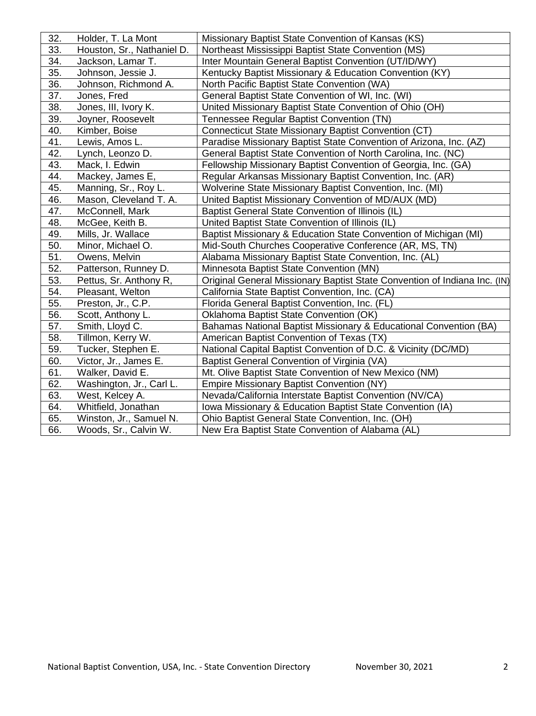| 32. | Holder, T. La Mont         | Missionary Baptist State Convention of Kansas (KS)                        |
|-----|----------------------------|---------------------------------------------------------------------------|
| 33. | Houston, Sr., Nathaniel D. | Northeast Mississippi Baptist State Convention (MS)                       |
| 34. | Jackson, Lamar T.          | Inter Mountain General Baptist Convention (UT/ID/WY)                      |
| 35. | Johnson, Jessie J.         | Kentucky Baptist Missionary & Education Convention (KY)                   |
| 36. | Johnson, Richmond A.       | North Pacific Baptist State Convention (WA)                               |
| 37. | Jones, Fred                | General Baptist State Convention of WI, Inc. (WI)                         |
| 38. | Jones, III, Ivory K.       | United Missionary Baptist State Convention of Ohio (OH)                   |
| 39. | Joyner, Roosevelt          | Tennessee Regular Baptist Convention (TN)                                 |
| 40. | Kimber, Boise              | Connecticut State Missionary Baptist Convention (CT)                      |
| 41. | Lewis, Amos L.             | Paradise Missionary Baptist State Convention of Arizona, Inc. (AZ)        |
| 42. | Lynch, Leonzo D.           | General Baptist State Convention of North Carolina, Inc. (NC)             |
| 43. | Mack, I. Edwin             | Fellowship Missionary Baptist Convention of Georgia, Inc. (GA)            |
| 44. | Mackey, James E,           | Regular Arkansas Missionary Baptist Convention, Inc. (AR)                 |
| 45. | Manning, Sr., Roy L.       | Wolverine State Missionary Baptist Convention, Inc. (MI)                  |
| 46. | Mason, Cleveland T. A.     | United Baptist Missionary Convention of MD/AUX (MD)                       |
| 47. | McConnell, Mark            | Baptist General State Convention of Illinois (IL)                         |
| 48. | McGee, Keith B.            | United Baptist State Convention of Illinois (IL)                          |
| 49. | Mills, Jr. Wallace         | Baptist Missionary & Education State Convention of Michigan (MI)          |
| 50. | Minor, Michael O.          | Mid-South Churches Cooperative Conference (AR, MS, TN)                    |
| 51. | Owens, Melvin              | Alabama Missionary Baptist State Convention, Inc. (AL)                    |
| 52. | Patterson, Runney D.       | Minnesota Baptist State Convention (MN)                                   |
| 53. | Pettus, Sr. Anthony R,     | Original General Missionary Baptist State Convention of Indiana Inc. (IN) |
| 54. | Pleasant, Welton           | California State Baptist Convention, Inc. (CA)                            |
| 55. | Preston, Jr., C.P.         | Florida General Baptist Convention, Inc. (FL)                             |
| 56. | Scott, Anthony L.          | Oklahoma Baptist State Convention (OK)                                    |
| 57. | Smith, Lloyd C.            | Bahamas National Baptist Missionary & Educational Convention (BA)         |
| 58. | Tillmon, Kerry W.          | American Baptist Convention of Texas (TX)                                 |
| 59. | Tucker, Stephen E.         | National Capital Baptist Convention of D.C. & Vicinity (DC/MD)            |
| 60. | Victor, Jr., James E.      | Baptist General Convention of Virginia (VA)                               |
| 61. | Walker, David E.           | Mt. Olive Baptist State Convention of New Mexico (NM)                     |
| 62. | Washington, Jr., Carl L.   | <b>Empire Missionary Baptist Convention (NY)</b>                          |
| 63. | West, Kelcey A.            | Nevada/California Interstate Baptist Convention (NV/CA)                   |
| 64. | Whitfield, Jonathan        | Iowa Missionary & Education Baptist State Convention (IA)                 |
| 65. | Winston, Jr., Samuel N.    | Ohio Baptist General State Convention, Inc. (OH)                          |
| 66. | Woods, Sr., Calvin W.      | New Era Baptist State Convention of Alabama (AL)                          |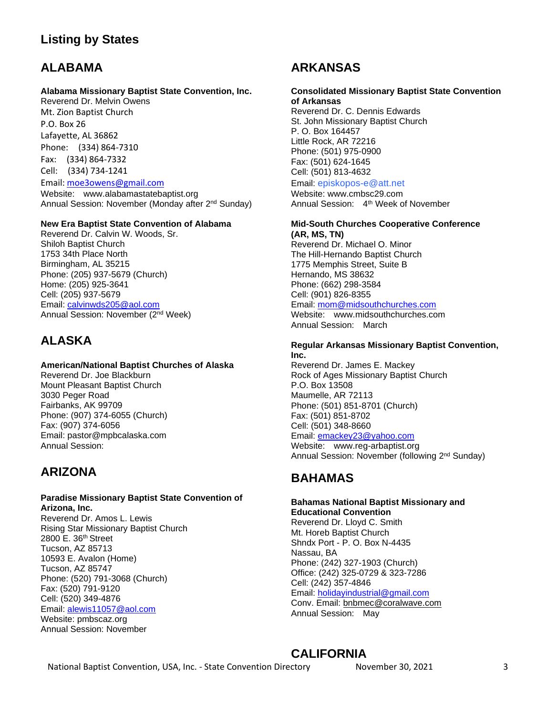# **Listing by States**

# **ALABAMA**

### **Alabama Missionary Baptist State Convention, Inc.**

Reverend Dr. Melvin Owens Mt. Zion Baptist Church P.O. Box 26 Lafayette, AL 36862 Phone: (334) 864-7310 Fax: (334) 864-7332 Cell: (334) 734-1241 Email[: moe3owens@gmail.com](mailto:moe3owens@gmail.com) Website: [www.alabamastatebaptist.org](http://www.alabamastatebaptist.org/) Annual Session: November (Monday after 2nd Sunday)

### **New Era Baptist State Convention of Alabama**

Reverend Dr. Calvin W. Woods, Sr. Shiloh Baptist Church 1753 34th Place North Birmingham, AL 35215 Phone: (205) 937-5679 (Church) Home: (205) 925-3641 Cell: (205) 937-5679 Email: [calvinwds205@aol.com](mailto:calvinwds205@aol.com) Annual Session: November (2nd Week)

# **ALASKA**

### **American/National Baptist Churches of Alaska**

Reverend Dr. Joe Blackburn Mount Pleasant Baptist Church 3030 Peger Road Fairbanks, AK 99709 Phone: (907) 374-6055 (Church) Fax: (907) 374-6056 Email: [pastor@mpbcalaska.com](mailto:pastor@mpbcalaska.com) Annual Session:

# **ARIZONA**

### **Paradise Missionary Baptist State Convention of Arizona, Inc.**

Reverend Dr. Amos L. Lewis Rising Star Missionary Baptist Church 2800 E. 36th Street Tucson, AZ 85713 10593 E. Avalon (Home) Tucson, AZ 85747 Phone: (520) 791-3068 (Church) Fax: (520) 791-9120 Cell: (520) 349-4876 Email: [alewis11057@aol.com](mailto:alewis11057@aol.com) Website: pmbscaz.org Annual Session: November

# **ARKANSAS**

### **Consolidated Missionary Baptist State Convention of Arkansas**

Reverend Dr. C. Dennis Edwards St. John Missionary Baptist Church P. O. Box 164457 Little Rock, AR 72216 Phone: (501) 975-0900 Fax: (501) 624-1645 Cell: (501) 813-4632

### Email: [episkopos-e@att.net](mailto:episkopos-e@att.net)

Website: [www.cmbsc29.com](http://www.cmbsc29.com/)  Annual Session: 4th Week of November

#### **Mid-South Churches Cooperative Conference (AR, MS, TN)**

Reverend Dr. Michael O. Minor The Hill-Hernando Baptist Church 1775 Memphis Street, Suite B Hernando, MS 38632 Phone: (662) 298-3584 Cell: (901) 826-8355 Email: [mom@midsouthchurches.com](mailto:mom@midsouthchurches.com) Website: www.midsouthchurches.com Annual Session: March

#### **Regular Arkansas Missionary Baptist Convention, Inc.**

Reverend Dr. James E. Mackey Rock of Ages Missionary Baptist Church P.O. Box 13508 Maumelle, AR 72113 Phone: (501) 851-8701 (Church) Fax: (501) 851-8702 Cell: (501) 348-8660 Email: [emackey23@yahoo.com](mailto:emackey23@yahoo.com) Website: www.reg-arbaptist.org Annual Session: November (following 2nd Sunday)

# **BAHAMAS**

## **Bahamas National Baptist Missionary and Educational Convention**

Reverend Dr. Lloyd C. Smith Mt. Horeb Baptist Church Shndx Port - P. O. Box N-4435 Nassau, BA Phone: (242) 327-1903 (Church) Office: (242) 325-0729 & 323-7286 Cell: (242) 357-4846 Email: [holidayindustrial@gmail.com](mailto:holidayindustrial@gmail.com) Conv. Email: [bnbmec@coralwave.com](mailto:bnbmec@coralwave.com) Annual Session: May

# **CALIFORNIA**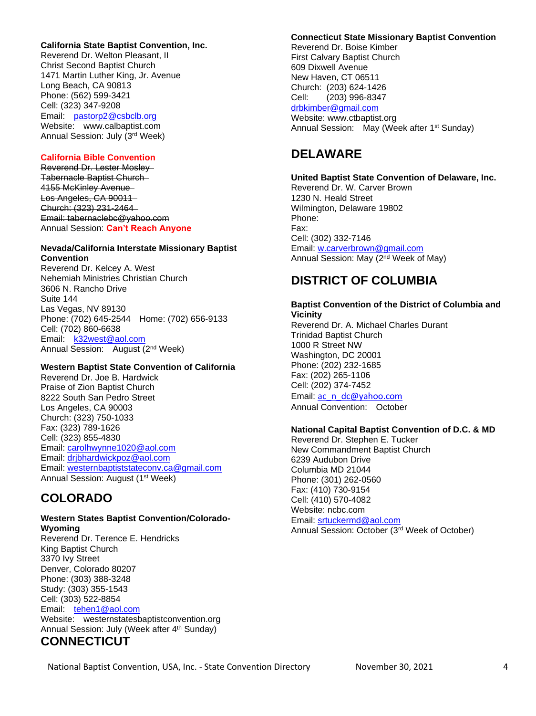### **California State Baptist Convention, Inc.**

Reverend Dr. Welton Pleasant, II Christ Second Baptist Church 1471 Martin Luther King, Jr. Avenue Long Beach, CA 90813 Phone: (562) 599-3421 Cell: (323) 347-9208 Email: [pastorp2@csbclb.org](mailto:pastorp2@csbclb.org) Website: www.calbaptist.com Annual Session: July (3rd Week)

### **California Bible Convention**

Reverend Dr. Lester Mosley Tabernacle Baptist Church 4155 McKinley Avenue Los Angeles, CA 90011 Church: (323) 231-2464 Email: [tabernaclebc@yahoo.com](mailto:tabernaclebc@yahoo.com) Annual Session: **Can't Reach Anyone**

#### **Nevada/California Interstate Missionary Baptist Convention**

Reverend Dr. Kelcey A. West Nehemiah Ministries Christian Church 3606 N. Rancho Drive Suite 144 Las Vegas, NV 89130 Phone: (702) 645-2544 Home: (702) 656-9133 Cell: (702) 860-6638 Email: [k32west@aol.com](mailto:k32west@aol.com) Annual Session: August (2nd Week)

### **Western Baptist State Convention of California**

Reverend Dr. Joe B. Hardwick Praise of Zion Baptist Church 8222 South San Pedro Street Los Angeles, CA 90003 Church: (323) 750-1033 Fax: (323) 789-1626 Cell: (323) 855-4830 Email: [carolhwynne1020@aol.com](mailto:carolhwynne1020@aol.com) Email: [drjbhardwickpoz@aol.com](mailto:drjbhardwickpoz@aol.com) Email: [westernbaptiststateconv.ca@gmail.com](mailto:westernbaptiststateconv.ca@gmail.com) Annual Session: August (1<sup>st</sup> Week)

# **COLORADO**

#### **Western States Baptist Convention/Colorado-Wyoming**

Reverend Dr. Terence E. Hendricks King Baptist Church 3370 Ivy Street Denver, Colorado 80207 Phone: (303) 388-3248 Study: (303) 355-1543 Cell: (303) 522-8854 Email: [tehen1@aol.com](mailto:tehen1@aol.com) Website: westernstatesbaptistconvention.org Annual Session: July (Week after 4<sup>th</sup> Sunday)

# **CONNECTICUT**

#### **Connecticut State Missionary Baptist Convention**

Reverend Dr. Boise Kimber First Calvary Baptist Church 609 Dixwell Avenue New Haven, CT 06511 Church: (203) 624-1426 Cell: (203) 996-8347 [drbkimber@gmail.com](mailto:drbkimber@gmail.com) Website: www.ctbaptist.org Annual Session: May (Week after 1<sup>st</sup> Sunday)

# **DELAWARE**

**United Baptist State Convention of Delaware, Inc.** Reverend Dr. W. Carver Brown 1230 N. Heald Street Wilmington, Delaware 19802 Phone: Fax: Cell: (302) 332-7146 Email: [w.carverbrown@gmail.com](mailto:w.carverbrown@gmail.com) Annual Session: May (2nd Week of May)

# **DISTRICT OF COLUMBIA**

#### **Baptist Convention of the District of Columbia and Vicinity**

Reverend Dr. A. Michael Charles Durant Trinidad Baptist Church 1000 R Street NW Washington, DC 20001 Phone: (202) 232-1685 Fax: (202) 265-1106 Cell: (202) 374-7452 Email: [ac\\_n\\_dc@yahoo.com](mailto:ac_n_dc@yahoo.com) Annual Convention: October

### **National Capital Baptist Convention of D.C. & MD**

Reverend Dr. Stephen E. Tucker New Commandment Baptist Church 6239 Audubon Drive Columbia MD 21044 Phone: (301) 262-0560 Fax: (410) 730-9154 Cell: (410) 570-4082 Website: ncbc.com Email: [srtuckermd@aol.com](mailto:srtuckermd@aol.com) Annual Session: October (3rd Week of October)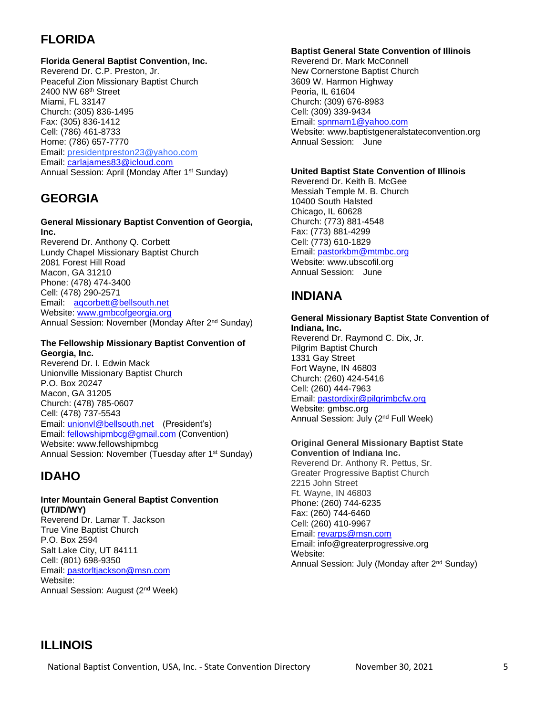# **FLORIDA**

## **Florida General Baptist Convention, Inc.**

Reverend Dr. C.P. Preston, Jr. Peaceful Zion Missionary Baptist Church 2400 NW 68th Street Miami, FL 33147 Church: (305) 836-1495 Fax: (305) 836-1412 Cell: (786) 461-8733 Home: (786) 657-7770 Email: [presidentpreston23@yahoo.com](mailto:presidentpreston23@yahoo.com) Email: [carlajames83@icloud.com](mailto:carlajames83@icloud.com) Annual Session: April (Monday After 1<sup>st</sup> Sunday)

# **GEORGIA**

### **General Missionary Baptist Convention of Georgia, Inc.**

Reverend Dr. Anthony Q. Corbett Lundy Chapel Missionary Baptist Church 2081 Forest Hill Road Macon, GA 31210 Phone: (478) 474-3400 Cell: (478) 290-2571 Email: [aqcorbett@bellsouth.net](mailto:aqcorbett@bellsouth.net) Website: www.ambcofaeorgia.org Annual Session: November (Monday After 2<sup>nd</sup> Sunday)

### **The Fellowship Missionary Baptist Convention of Georgia, Inc.**

Reverend Dr. I. Edwin Mack Unionville Missionary Baptist Church P.O. Box 20247 Macon, GA 31205 Church: (478) 785-0607 Cell: (478) 737-5543 Email: [unionvl@bellsouth.net](mailto:unionvl@bellsouth.net) (President's) Email: [fellowshipmbcg@gmail.com](mailto:fellowshipmbcg@gmail.com) (Convention) Website: www.fellowshipmbcg Annual Session: November (Tuesday after 1<sup>st</sup> Sunday)

# **IDAHO**

## **Inter Mountain General Baptist Convention (UT/ID/WY)**

Reverend Dr. Lamar T. Jackson True Vine Baptist Church P.O. Box 2594 Salt Lake City, UT 84111 Cell: (801) 698-9350 Email: [pastorltjackson@msn.com](mailto:pastorltjackson@msn.com) Website: Annual Session: August (2nd Week)

## **Baptist General State Convention of Illinois**

Reverend Dr. Mark McConnell New Cornerstone Baptist Church 3609 W. Harmon Highway Peoria, IL 61604 Church: (309) 676-8983 Cell: (309) 339-9434 Email: [spnmam1@yahoo.com](mailto:spnmam1@yahoo.com) Website: www[.baptistgeneralstateconvention.org](http://www.baptistgeneralstateconvention.org/) Annual Session: June

### **United Baptist State Convention of Illinois**

Reverend Dr. Keith B. McGee Messiah Temple M. B. Church 10400 South Halsted Chicago, IL 60628 Church: (773) 881-4548 Fax: (773) 881-4299 Cell: (773) 610-1829 Email: [pastorkbm@mtmbc.org](mailto:pastorkbm@mtmbc.org) Website: www.ubscofil.org Annual Session: June

# **INDIANA**

#### **General Missionary Baptist State Convention of Indiana, Inc.**  Reverend Dr. Raymond C. Dix, Jr. Pilgrim Baptist Church

1331 Gay Street Fort Wayne, IN 46803 Church: (260) 424-5416 Cell: (260) 444-7963 Email: [pastordixjr@pilgrimbcfw.org](mailto:pastordixjr@pilgrimbcfw.org) Website: gmbsc.org Annual Session: July (2nd Full Week)

### **Original General Missionary Baptist State Convention of Indiana Inc.**

Reverend Dr. Anthony R. Pettus, Sr. Greater Progressive Baptist Church 2215 John Street Ft. Wayne, IN 46803 Phone: (260) 744-6235 Fax: (260) 744-6460 Cell: (260) 410-9967 Email: [revarps@msn.com](mailto:revarps@msn.com) Email: info@greaterprogressive.org Website: Annual Session: July (Monday after 2nd Sunday)

# **ILLINOIS**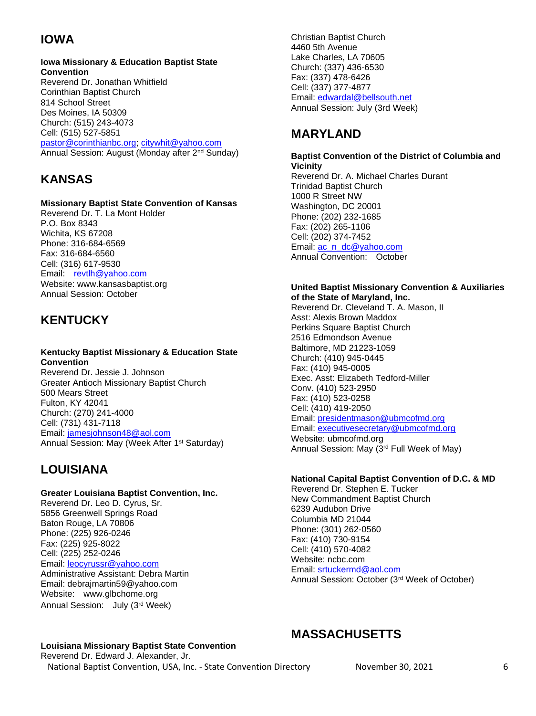# **IOWA**

### **Iowa Missionary & Education Baptist State Convention**  Reverend Dr. Jonathan Whitfield

Corinthian Baptist Church 814 School Street Des Moines, IA 50309 Church: (515) 243-4073 Cell: (515) 527-5851 [pastor@corinthianbc.org;](mailto:pastor@corinthianbc.org) [citywhit@yahoo.com](mailto:citywhit@yahoo.com) Annual Session: August (Monday after 2nd Sunday)

# **KANSAS**

## **Missionary Baptist State Convention of Kansas**

Reverend Dr. T. La Mont Holder P.O. Box 8343 Wichita, KS 67208 Phone: 316-684-6569 Fax: 316-684-6560 Cell: (316) 617-9530 Email: [revtlh@yahoo.com](mailto:revtlh@yahoo.com) Website: www.kansasbaptist.org Annual Session: October

# **KENTUCKY**

### **Kentucky Baptist Missionary & Education State Convention**

Reverend Dr. Jessie J. Johnson Greater Antioch Missionary Baptist Church 500 Mears Street Fulton, KY 42041 Church: (270) 241-4000 Cell: (731) 431-7118 Email: [jamesjohnson48@aol.com](mailto:jamesjohnson48@aol.com) Annual Session: May (Week After 1<sup>st</sup> Saturday)

# **LOUISIANA**

## **Greater Louisiana Baptist Convention, Inc.**

Reverend Dr. Leo D. Cyrus, Sr. 5856 Greenwell Springs Road Baton Rouge, LA 70806 Phone: (225) 926-0246 Fax: (225) 925-8022 Cell: (225) 252-0246 Email: [leocyrussr@yahoo.com](mailto:leocyrussr@yahoo.com) Administrative Assistant: Debra Martin Email: debrajmartin59@yahoo.com Website: www.glbchome.org Annual Session: July (3rd Week)

#### Christian Baptist Church 4460 5th Avenue Lake Charles, LA 70605 Church: (337) 436-6530 Fax: (337) 478-6426 Cell: (337) 377-4877 Email: [edwardal@bellsouth.net](mailto:edwardal@bellsouth.net) Annual Session: July (3rd Week)

# **MARYLAND**

## **Baptist Convention of the District of Columbia and Vicinity**

Reverend Dr. A. Michael Charles Durant Trinidad Baptist Church 1000 R Street NW Washington, DC 20001 Phone: (202) 232-1685 Fax: (202) 265-1106 Cell: (202) 374-7452 Email: [ac\\_n\\_dc@yahoo.com](mailto:ac_n_dc@yahoo.com) Annual Convention: October

### **United Baptist Missionary Convention & Auxiliaries of the State of Maryland, Inc.**

Reverend Dr. Cleveland T. A. Mason, II Asst: Alexis Brown Maddox Perkins Square Baptist Church 2516 Edmondson Avenue Baltimore, MD 21223-1059 Church: (410) 945-0445 Fax: (410) 945-0005 Exec. Asst: Elizabeth Tedford-Miller Conv. (410) 523-2950 Fax: (410) 523-0258 Cell: (410) 419-2050 Email: [presidentmason@ubmcofmd.org](mailto:presidentmason@ubmcofmd.org) Email: [executivesecretary@ubmcofmd.org](mailto:executivesecretary@ubmcofmd.org) Website: ubmcofmd.org Annual Session: May (3rd Full Week of May)

## **National Capital Baptist Convention of D.C. & MD**

Reverend Dr. Stephen E. Tucker New Commandment Baptist Church 6239 Audubon Drive Columbia MD 21044 Phone: (301) 262-0560 Fax: (410) 730-9154 Cell: (410) 570-4082 Website: ncbc.com Email: [srtuckermd@aol.com](mailto:srtuckermd@aol.com) Annual Session: October (3rd Week of October)

### **Louisiana Missionary Baptist State Convention**

National Baptist Convention, USA, Inc. - State Convention Directory November 30, 2021 6 Reverend Dr. Edward J. Alexander, Jr.

# **MASSACHUSETTS**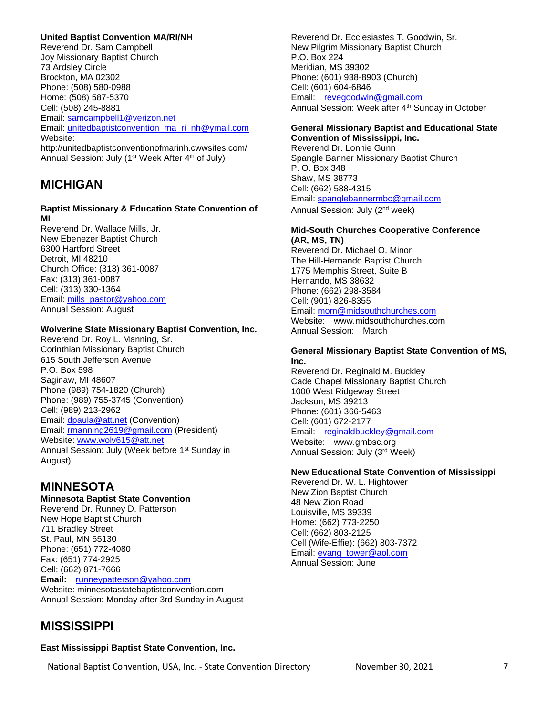### **United Baptist Convention MA/RI/NH**

Reverend Dr. Sam Campbell Joy Missionary Baptist Church 73 Ardsley Circle Brockton, MA 02302 Phone: (508) 580-0988 Home: (508) 587-5370 Cell: (508) 245-8881 Email: [samcampbell1@verizon.net](mailto:samcampbell1@verizon.net) Email: [unitedbaptistconvention\\_ma\\_ri\\_nh@ymail.com](mailto:unitedbaptistconvention_ma_ri_nh@ymail.com) Website: http://unitedbaptistconventionofmarinh.cwwsites.com/ Annual Session: July (1<sup>st</sup> Week After 4<sup>th</sup> of July)

# **MICHIGAN**

### **Baptist Missionary & Education State Convention of MI**

Reverend Dr. Wallace Mills, Jr. New Ebenezer Baptist Church 6300 Hartford Street Detroit, MI 48210 Church Office: (313) 361-0087 Fax: (313) 361-0087 Cell: (313) 330-1364 Email: [mills\\_pastor@yahoo.com](mailto:mills_pastor@yahoo.com) Annual Session: August

### **Wolverine State Missionary Baptist Convention, Inc.**

Reverend Dr. Roy L. Manning, Sr. Corinthian Missionary Baptist Church 615 South Jefferson Avenue P.O. Box 598 Saginaw, MI 48607 Phone (989) 754-1820 (Church) Phone: (989) 755-3745 (Convention) Cell: (989) 213-2962 Email: [dpaula@att.net](mailto:dpaula@att.net) (Convention) Email: [rmanning2619@gmail.com](mailto:rmanning2619@gmail.com) (President) Website: [www.wolv615@att.net](http://www.wolv615@att.net)  Annual Session: July (Week before 1<sup>st</sup> Sunday in August)

# **MINNESOTA**

### **Minnesota Baptist State Convention**

Reverend Dr. Runney D. Patterson New Hope Baptist Church 711 Bradley Street St. Paul, MN 55130 Phone: (651) 772-4080 Fax: (651) 774-2925 Cell: (662) 871-7666 **Email:** [runneypatterson@yahoo.com](mailto:runneypatterson@yahoo.com) Website: minnesotastatebaptistconvention.com Annual Session: Monday after 3rd Sunday in August

# **MISSISSIPPI**

### **East Mississippi Baptist State Convention, Inc.**

Reverend Dr. Ecclesiastes T. Goodwin, Sr. New Pilgrim Missionary Baptist Church P.O. Box 224 Meridian, MS 39302 Phone: (601) 938-8903 (Church) Cell: (601) 604-6846 Email: [revegoodwin@gmail.com](mailto:revegoodwin@gmail.com) Annual Session: Week after 4<sup>th</sup> Sunday in October

#### **General Missionary Baptist and Educational State Convention of Mississippi, Inc.**

Reverend Dr. Lonnie Gunn Spangle Banner Missionary Baptist Church P. O. Box 348 Shaw, MS 38773 Cell: (662) 588-4315 Email: [spanglebannermbc@gmail.com](mailto:spanglebannermbc@gmail.com) Annual Session: July (2nd week)

#### **Mid-South Churches Cooperative Conference (AR, MS, TN)**

Reverend Dr. Michael O. Minor The Hill-Hernando Baptist Church 1775 Memphis Street, Suite B Hernando, MS 38632 Phone: (662) 298-3584 Cell: (901) 826-8355 Email: [mom@midsouthchurches.com](mailto:mom@midsouthchurches.com) Website: www.midsouthchurches.com

Annual Session: March

### **General Missionary Baptist State Convention of MS, Inc.**

Reverend Dr. Reginald M. Buckley Cade Chapel Missionary Baptist Church 1000 West Ridgeway Street Jackson, MS 39213 Phone: (601) 366-5463 Cell: (601) 672-2177 Email: [reginaldbuckley@gmail.com](mailto:reginaldbuckley@gmail.com) Website: www.gmbsc.org Annual Session: July (3rd Week)

### **New Educational State Convention of Mississippi**

Reverend Dr. W. L. Hightower New Zion Baptist Church 48 New Zion Road Louisville, MS 39339 Home: (662) 773-2250 Cell: (662) 803-2125 Cell (Wife-Effie): (662) 803-7372 Email: [evang\\_tower@aol.com](mailto:evang_tower@aol.com) Annual Session: June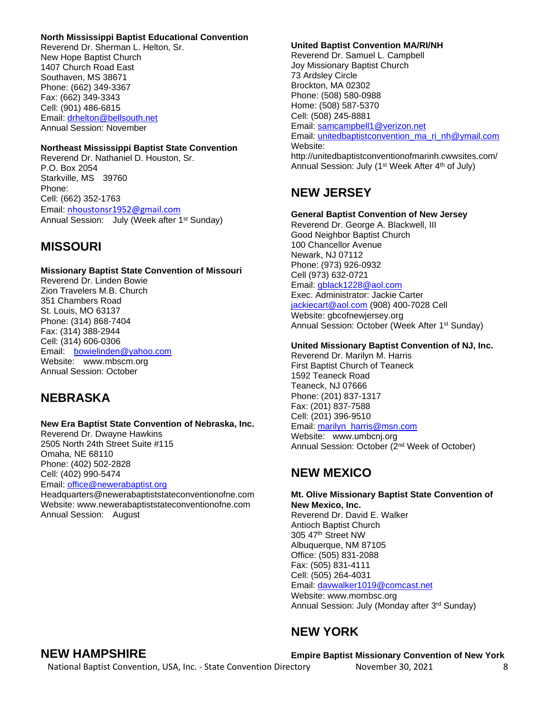#### **North Mississippi Baptist Educational Convention**

Reverend Dr. Sherman L. Helton, Sr. New Hope Baptist Church 1407 Church Road East Southaven, MS 38671 Phone: (662) 349-3367 Fax: (662) 349-3343 Cell: (901) 486-6815 Email: [drhelton@bellsouth.net](mailto:drhelton@bellsouth.net) Annual Session: November

### **Northeast Mississippi Baptist State Convention**

Reverend Dr. Nathaniel D. Houston, Sr. P.O. Box 2054 Starkville, MS 39760 Phone: Cell: (662) 352-1763 Email: [nhoustonsr1952@gmail.com](mailto:nhoustonsr1952@gmail.com) Annual Session: July (Week after 1<sup>st</sup> Sunday)

# **MISSOURI**

#### **Missionary Baptist State Convention of Missouri**

Reverend Dr. Linden Bowie Zion Travelers M.B. Church 351 Chambers Road St. Louis, MO 63137 Phone: (314) 868-7404 Fax: (314) 388-2944 Cell: (314) 606-0306 Email: [bowielinden@yahoo.com](mailto:bowielinden@yahoo.com) Website: www.mbscm.org Annual Session: October

# **NEBRASKA**

#### **New Era Baptist State Convention of Nebraska, Inc.**

Reverend Dr. Dwayne Hawkins 2505 North 24th Street Suite #115 Omaha, NE 68110 Phone: (402) 502-2828 Cell: (402) 990-5474 Email: [office@newerabaptist.org](mailto:office@newerabaptist.org) Headquarters@newerabaptiststateconventionofne.com

Website: www.newerabaptiststateconventionofne.com Annual Session: August

### **United Baptist Convention MA/RI/NH**

Reverend Dr. Samuel L. Campbell Joy Missionary Baptist Church 73 Ardsley Circle Brockton, MA 02302 Phone: (508) 580-0988 Home: (508) 587-5370 Cell: (508) 245-8881 Email: [samcampbell1@verizon.net](mailto:samcampbell1@verizon.net) Email: [unitedbaptistconvention\\_ma\\_ri\\_nh@ymail.com](mailto:unitedbaptistconvention_ma_ri_nh@ymail.com) Website: http://unitedbaptistconventionofmarinh.cwwsites.com/ Annual Session: July (1<sup>st</sup> Week After 4<sup>th</sup> of July)

# **NEW JERSEY**

#### **General Baptist Convention of New Jersey**

Reverend Dr. George A. Blackwell, III Good Neighbor Baptist Church 100 Chancellor Avenue Newark, NJ 07112 Phone: (973) 926-0932 Cell (973) 632-0721 Email: [gblack1228@aol.com](mailto:gblack1228@aol.com) Exec. Administrator: Jackie Carter [jackiecart@aol.com](mailto:jackiecart@aol.com) (908) 400-7028 Cell Website: abcofnewiersey.org Annual Session: October (Week After 1st Sunday)

### **United Missionary Baptist Convention of NJ, Inc.**

Reverend Dr. Marilyn M. Harris First Baptist Church of Teaneck 1592 Teaneck Road Teaneck, NJ 07666 Phone: (201) 837-1317 Fax: (201) 837-7588 Cell: (201) 396-9510 Email: [marilyn\\_harris@msn.com](mailto:marilyn_harris@msn.com) Website: www.umbcnj.org Annual Session: October (2nd Week of October)

# **NEW MEXICO**

**Mt. Olive Missionary Baptist State Convention of New Mexico, Inc.** Reverend Dr. David E. Walker Antioch Baptist Church 305 47th Street NW Albuquerque, NM 87105 Office: (505) 831-2088 Fax: (505) 831-4111 Cell: (505) 264-4031 Email: [davwalker1019@comcast.net](mailto:davwalker1019@comcast.net) Website: www.mombsc.org Annual Session: July (Monday after 3rd Sunday)

# **NEW YORK**

## **NEW HAMPSHIRE**

**Empire Baptist Missionary Convention of New York**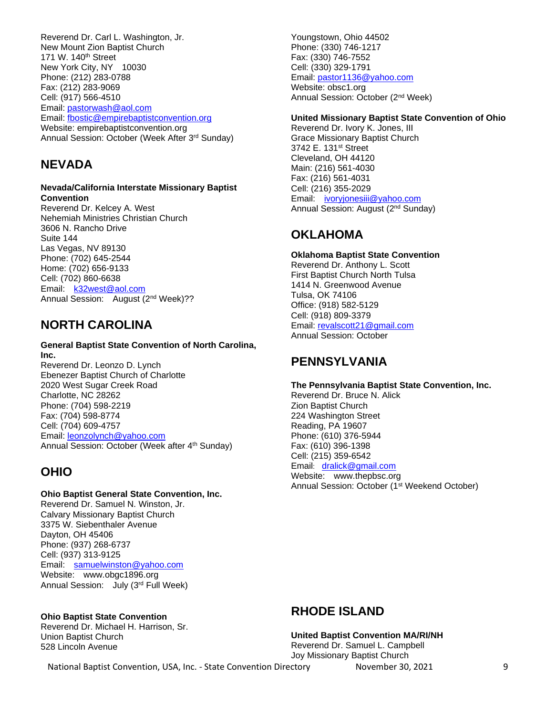Reverend Dr. Carl L. Washington, Jr. New Mount Zion Baptist Church 171 W. 140<sup>th</sup> Street New York City, NY 10030 Phone: (212) 283-0788 Fax: (212) 283-9069 Cell: (917) 566-4510 Email: [pastorwash@aol.com](mailto:pastorwash@aol.com) Email: [fbostic@empirebaptistconvention.org](mailto:fbostic@empirebaptistconvention.org) Website: empirebaptistconvention.org Annual Session: October (Week After 3rd Sunday)

# **NEVADA**

#### **Nevada/California Interstate Missionary Baptist Convention**

Reverend Dr. Kelcey A. West Nehemiah Ministries Christian Church 3606 N. Rancho Drive Suite 144 Las Vegas, NV 89130 Phone: (702) 645-2544 Home: (702) 656-9133 Cell: (702) 860-6638 Email: [k32west@aol.com](mailto:k32west@aol.com) Annual Session: August (2<sup>nd</sup> Week)??

# **NORTH CAROLINA**

### **General Baptist State Convention of North Carolina, Inc.**

Reverend Dr. Leonzo D. Lynch Ebenezer Baptist Church of Charlotte 2020 West Sugar Creek Road Charlotte, NC 28262 Phone: (704) 598-2219 Fax: (704) 598-8774 Cell: (704) 609-4757 Email: [leonzolynch@yahoo.com](mailto:leonzolynch@yahoo.com) Annual Session: October (Week after 4<sup>th</sup> Sunday)

# **OHIO**

### **Ohio Baptist General State Convention, Inc.**

Reverend Dr. Samuel N. Winston, Jr. Calvary Missionary Baptist Church 3375 W. Siebenthaler Avenue Dayton, OH 45406 Phone: (937) 268-6737 Cell: (937) 313-9125 Email: [samuelwinston@yahoo.com](mailto:samuelwinston@yahoo.com) Website: www.obgc1896.org Annual Session: July (3rd Full Week)

### **Ohio Baptist State Convention**

Reverend Dr. Michael H. Harrison, Sr. Union Baptist Church 528 Lincoln Avenue

Youngstown, Ohio 44502 Phone: (330) 746-1217 Fax: (330) 746-7552 Cell: (330) 329-1791 Email: [pastor1136@yahoo.com](mailto:pastor1136@yahoo.com) Website: obsc1.org Annual Session: October (2nd Week)

## **United Missionary Baptist State Convention of Ohio**

Reverend Dr. Ivory K. Jones, III Grace Missionary Baptist Church 3742 E. 131st Street Cleveland, OH 44120 Main: (216) 561-4030 Fax: (216) 561-4031 Cell: (216) 355-2029 Email: [ivoryjonesiii@yahoo.com](mailto:ivoryjonesiii@yahoo.com) Annual Session: August (2<sup>nd</sup> Sunday)

# **OKLAHOMA**

### **Oklahoma Baptist State Convention**

Reverend Dr. Anthony L. Scott First Baptist Church North Tulsa 1414 N. Greenwood Avenue Tulsa, OK 74106 Office: (918) 582-5129 Cell: (918) 809-3379 Email: [revalscott21@gmail.com](mailto:revalscott21@gmail.com) Annual Session: October

# **PENNSYLVANIA**

**The Pennsylvania Baptist State Convention, Inc.**  Reverend Dr. Bruce N. Alick Zion Baptist Church 224 Washington Street Reading, PA 19607 Phone: (610) 376-5944 Fax: (610) 396-1398 Cell: (215) 359-6542 Email: [dralick@gmail.com](mailto:dralick@gmail.com) Website: [www.thepbsc.org](http://www.thepbsc.org/) Annual Session: October (1<sup>st</sup> Weekend October)

# **RHODE ISLAND**

**United Baptist Convention MA/RI/NH**  Reverend Dr. Samuel L. Campbell Joy Missionary Baptist Church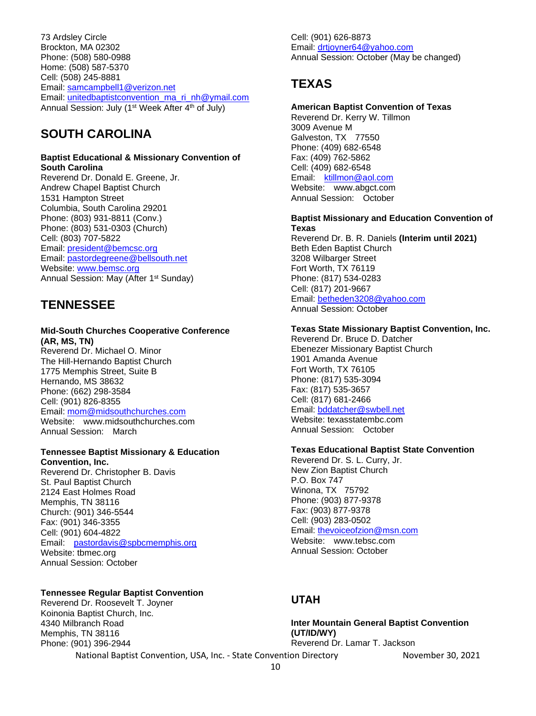73 Ardsley Circle Brockton, MA 02302 Phone: (508) 580-0988 Home: (508) 587-5370 Cell: (508) 245-8881 Email: [samcampbell1@verizon.net](mailto:samcampbell1@verizon.net) Email: [unitedbaptistconvention\\_ma\\_ri\\_nh@ymail.com](mailto:unitedbaptistconvention_ma_ri_nh@ymail.com) Annual Session: July (1<sup>st</sup> Week After 4<sup>th</sup> of July)

# **SOUTH CAROLINA**

#### **Baptist Educational & Missionary Convention of South Carolina**

Reverend Dr. Donald E. Greene, Jr. Andrew Chapel Baptist Church 1531 Hampton Street Columbia, South Carolina 29201 Phone: (803) 931-8811 (Conv.) Phone: (803) 531-0303 (Church) Cell: (803) 707-5822 Email: [president@bemcsc.org](mailto:president@bemcsc.org) Email: [pastordegreene@bellsouth.net](mailto:pastordegreene@bellsouth.net) Website: [www.bemsc.org](http://www.bemsc.org/) Annual Session: May (After 1<sup>st</sup> Sunday)

# **TENNESSEE**

#### **Mid-South Churches Cooperative Conference (AR, MS, TN)**

Reverend Dr. Michael O. Minor The Hill-Hernando Baptist Church 1775 Memphis Street, Suite B Hernando, MS 38632 Phone: (662) 298-3584 Cell: (901) 826-8355 Email: [mom@midsouthchurches.com](mailto:mom@midsouthchurches.com) Website: www.midsouthchurches.com Annual Session: March

### **Tennessee Baptist Missionary & Education**

**Convention, Inc.** Reverend Dr. Christopher B. Davis St. Paul Baptist Church 2124 East Holmes Road Memphis, TN 38116 Church: (901) 346-5544 Fax: (901) 346-3355 Cell: (901) 604-4822 Email: [pastordavis@spbcmemphis.org](mailto:pastordavis@spbcmemphis.org) Website: tbmec.org Annual Session: October

### **Tennessee Regular Baptist Convention**

Reverend Dr. Roosevelt T. Joyner Koinonia Baptist Church, Inc. 4340 Milbranch Road Memphis, TN 38116 Phone: (901) 396-2944

Cell: (901) 626-8873 Email: [drtjoyner64@yahoo.com](mailto:drtjoyner64@yahoo.com) Annual Session: October (May be changed)

# **TEXAS**

### **American Baptist Convention of Texas**

Reverend Dr. Kerry W. Tillmon 3009 Avenue M Galveston, TX 77550 Phone: (409) 682-6548 Fax: (409) 762-5862 Cell: (409) 682-6548 Email: [ktillmon@aol.com](mailto:ktillmon@aol.com) Website: www.abgct.com Annual Session: October

#### **Baptist Missionary and Education Convention of Texas**

Reverend Dr. B. R. Daniels **(Interim until 2021)** Beth Eden Baptist Church 3208 Wilbarger Street Fort Worth, TX 76119 Phone: (817) 534-0283 Cell: (817) 201-9667 Email: [betheden3208@yahoo.com](mailto:betheden3208@yahoo.com) Annual Session: October

### **Texas State Missionary Baptist Convention, Inc.**

Reverend Dr. Bruce D. Datcher Ebenezer Missionary Baptist Church 1901 Amanda Avenue Fort Worth, TX 76105 Phone: (817) 535-3094 Fax: (817) 535-3657 Cell: (817) 681-2466 Email: [bddatcher@swbell.net](mailto:bddatcher@swbell.net) Website: texasstatembc.com Annual Session: October

### **Texas Educational Baptist State Convention**

Reverend Dr. S. L. Curry, Jr. New Zion Baptist Church P.O. Box 747 Winona, TX 75792 Phone: (903) 877-9378 Fax: (903) 877-9378 Cell: (903) 283-0502 Email: [thevoiceofzion@msn.com](mailto:thevoiceofzion@msn.com) Website: www.tebsc.com Annual Session: October

## **UTAH**

**Inter Mountain General Baptist Convention (UT/ID/WY)** Reverend Dr. Lamar T. Jackson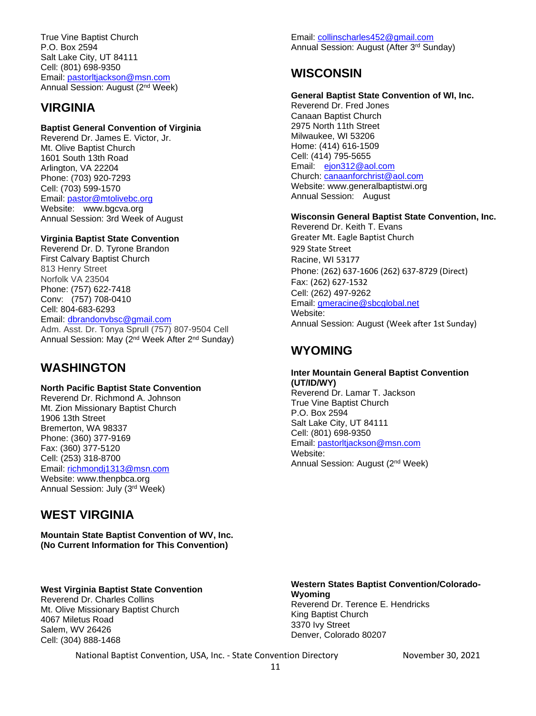True Vine Baptist Church P.O. Box 2594 Salt Lake City, UT 84111 Cell: (801) 698-9350 Email: [pastorltjackson@msn.com](mailto:pastorltjackson@msn.com) Annual Session: August (2nd Week)

# **VIRGINIA**

### **Baptist General Convention of Virginia**

Reverend Dr. James E. Victor, Jr. Mt. Olive Baptist Church 1601 South 13th Road Arlington, VA 22204 Phone: (703) 920-7293 Cell: (703) 599-1570 Email: [pastor@mtolivebc.org](mailto:pastor@mtolivebc.org) Website: www.bgcva.org Annual Session: 3rd Week of August

### **Virginia Baptist State Convention**

Reverend Dr. D. Tyrone Brandon First Calvary Baptist Church 813 Henry Street Norfolk VA 23504 Phone: (757) 622-7418 Conv: (757) 708-0410 Cell: 804-683-6293 Email: [dbrandonvbsc@gmail.com](mailto:dbrandonvbsc@gmail.com) Adm. Asst. Dr. Tonya Sprull (757) 807-9504 Cell Annual Session: May (2nd Week After 2nd Sunday)

# **WASHINGTON**

### **North Pacific Baptist State Convention**

Reverend Dr. Richmond A. Johnson Mt. Zion Missionary Baptist Church 1906 13th Street Bremerton, WA 98337 Phone: (360) 377-9169 Fax: (360) 377-5120 Cell: (253) 318-8700 Email: [richmondj1313@msn.com](mailto:richmondj1313@msn.com) Website: www.thenpbca.org Annual Session: July (3rd Week)

# **WEST VIRGINIA**

**Mountain State Baptist Convention of WV, Inc. (No Current Information for This Convention)**

### **West Virginia Baptist State Convention**

Reverend Dr. Charles Collins Mt. Olive Missionary Baptist Church 4067 Miletus Road Salem, WV 26426 Cell: (304) 888-1468

Email: [collinscharles452@gmail.com](mailto:collinscharles452@gmail.com)  Annual Session: August (After 3rd Sunday)

# **WISCONSIN**

### **General Baptist State Convention of WI, Inc.**

Reverend Dr. Fred Jones Canaan Baptist Church 2975 North 11th Street Milwaukee, WI 53206 Home: (414) 616-1509 Cell: (414) 795-5655 Email: [ejon312@aol.com](mailto:ejon312@aol.com) Church: [canaanforchrist@aol.com](mailto:canaanforchrist@aol.com) Website: www.generalbaptistwi.org Annual Session: August

### **Wisconsin General Baptist State Convention, Inc.**

Reverend Dr. Keith T. Evans Greater Mt. Eagle Baptist Church 929 State Street Racine, WI 53177 Phone: (262) 637-1606 (262) 637-8729 (Direct) Fax: (262) 627-1532 Cell: (262) 497-9262 Email: [gmeracine@sbcglobal.net](mailto:gmeracine@sbcglobal.net) Website: Annual Session: August (Week after 1st Sunday)

# **WYOMING**

### **Inter Mountain General Baptist Convention (UT/ID/WY)** Reverend Dr. Lamar T. Jackson

True Vine Baptist Church P.O. Box 2594 Salt Lake City, UT 84111 Cell: (801) 698-9350 Email: [pastorltjackson@msn.com](mailto:pastorltjackson@msn.com) Website: Annual Session: August (2nd Week)

#### **Western States Baptist Convention/Colorado-Wyoming**  Reverend Dr. Terence E. Hendricks King Baptist Church 3370 Ivy Street Denver, Colorado 80207